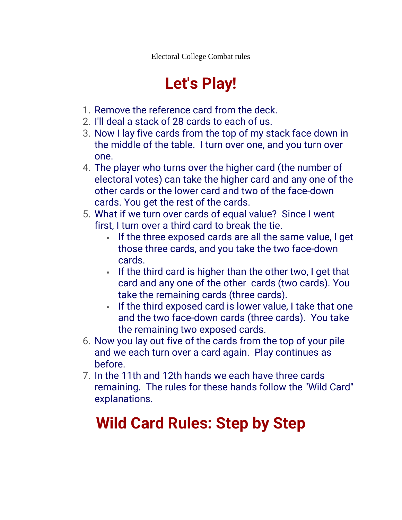Electoral College Combat rules

## **Let's Play!**

- 1. Remove the reference card from the deck.
- 2. I'll deal a stack of 28 cards to each of us.
- 3. Now I lay five cards from the top of my stack face down in the middle of the table. I turn over one, and you turn over one.
- 4. The player who turns over the higher card (the number of electoral votes) can take the higher card and any one of the other cards or the lower card and two of the face-down cards. You get the rest of the cards.
- 5. What if we turn over cards of equal value? Since I went first, I turn over a third card to break the tie.
	- If the three exposed cards are all the same value, I get those three cards, and you take the two face-down cards.
	- **.** If the third card is higher than the other two, I get that card and any one of the other cards (two cards). You take the remaining cards (three cards).
	- **EXED 1.** If the third exposed card is lower value, I take that one and the two face-down cards (three cards). You take the remaining two exposed cards.
- 6. Now you lay out five of the cards from the top of your pile and we each turn over a card again. Play continues as before.
- 7. In the 11th and 12th hands we each have three cards remaining. The rules for these hands follow the "Wild Card" explanations.

# **Wild Card Rules: Step by Step**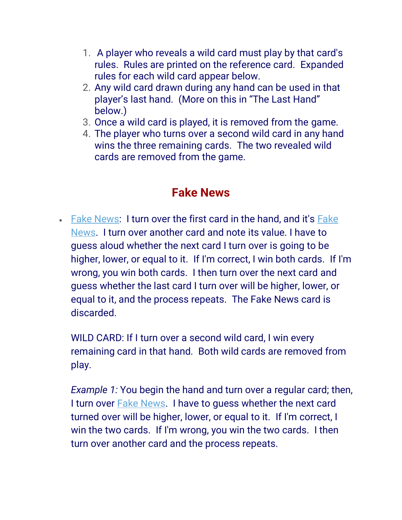- 1. A player who reveals a wild card must play by that card's rules. Rules are printed on the reference card. Expanded rules for each wild card appear below.
- 2. Any wild card drawn during any hand can be used in that player's last hand. (More on this in "The Last Hand" below.)
- 3. Once a wild card is played, it is removed from the game.
- 4. The player who turns over a second wild card in any hand wins the three remaining cards. The two revealed wild cards are removed from the game.

#### **Fake News**

• [Fake News:](https://studio.youtube.com/video/b8Ba3txgaqc/edit) I turn over the first card in the hand, and it's [Fake](https://studio.youtube.com/video/b8Ba3txgaqc/edit)  [News.](https://studio.youtube.com/video/b8Ba3txgaqc/edit) I turn over another card and note its value. I have to guess aloud whether the next card I turn over is going to be higher, lower, or equal to it. If I'm correct, I win both cards. If I'm wrong, you win both cards. I then turn over the next card and guess whether the last card I turn over will be higher, lower, or equal to it, and the process repeats. The Fake News card is discarded.

WILD CARD: If I turn over a second wild card, I win every remaining card in that hand. Both wild cards are removed from play.

*Example 1:* You begin the hand and turn over a regular card; then, I turn over [Fake News.](https://studio.youtube.com/video/b8Ba3txgaqc/edit) I have to guess whether the next card turned over will be higher, lower, or equal to it. If I'm correct, I win the two cards. If I'm wrong, you win the two cards. I then turn over another card and the process repeats.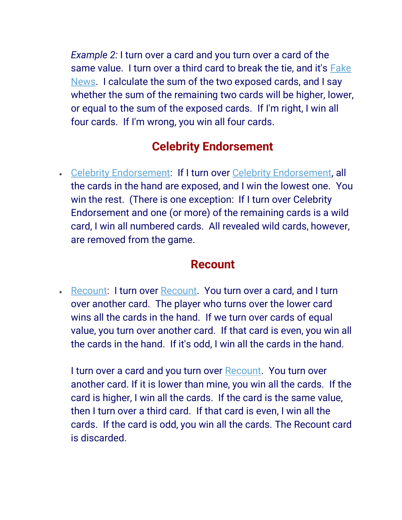*Example 2:* I turn over a card and you turn over a card of the same value. I turn over a third card to break the tie, and it's [Fake](https://studio.youtube.com/video/b8Ba3txgaqc/edit)  [News.](https://studio.youtube.com/video/b8Ba3txgaqc/edit) I calculate the sum of the two exposed cards, and I say whether the sum of the remaining two cards will be higher, lower, or equal to the sum of the exposed cards. If I'm right, I win all four cards. If I'm wrong, you win all four cards.

### **Celebrity Endorsement**

• [Celebrity Endorsement:](https://studio.youtube.com/video/___xjsk6oMc/edit) If I turn over [Celebrity Endorsement,](https://studio.youtube.com/video/___xjsk6oMc/edit) all the cards in the hand are exposed, and I win the lowest one. You win the rest. (There is one exception: If I turn over Celebrity Endorsement and one (or more) of the remaining cards is a wild card, I win all numbered cards. All revealed wild cards, however, are removed from the game.

#### **Recount**

• [Recount:](https://studio.youtube.com/video/lJmV15bnMH4/edit) I turn over [Recount.](https://studio.youtube.com/video/lJmV15bnMH4/edit) You turn over a card, and I turn over another card. The player who turns over the lower card wins all the cards in the hand. If we turn over cards of equal value, you turn over another card. If that card is even, you win all the cards in the hand. If it's odd, I win all the cards in the hand.

I turn over a card and you turn over [Recount.](https://studio.youtube.com/video/lJmV15bnMH4/edit) You turn over another card. If it is lower than mine, you win all the cards. If the card is higher, I win all the cards. If the card is the same value, then I turn over a third card. If that card is even, I win all the cards. If the card is odd, you win all the cards. The Recount card is discarded.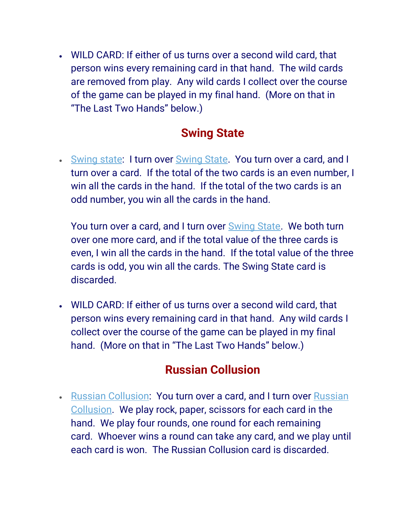• WILD CARD: If either of us turns over a second wild card, that person wins every remaining card in that hand. The wild cards are removed from play. Any wild cards I collect over the course of the game can be played in my final hand. (More on that in "The Last Two Hands" below.)

#### **Swing State**

• [Swing state:](https://studio.youtube.com/video/Wp3_qx9xyxA/edit) I turn over [Swing State.](https://studio.youtube.com/video/Wp3_qx9xyxA/edit) You turn over a card, and I turn over a card. If the total of the two cards is an even number, I win all the cards in the hand. If the total of the two cards is an odd number, you win all the cards in the hand.

You turn over a card, and I turn over [Swing State.](https://studio.youtube.com/video/Wp3_qx9xyxA/edit) We both turn over one more card, and if the total value of the three cards is even, I win all the cards in the hand. If the total value of the three cards is odd, you win all the cards. The Swing State card is discarded.

• WILD CARD: If either of us turns over a second wild card, that person wins every remaining card in that hand. Any wild cards I collect over the course of the game can be played in my final hand. (More on that in "The Last Two Hands" below.)

#### **Russian Collusion**

• [Russian Collusion:](https://studio.youtube.com/video/O3Ei6LzZuAc/edit) You turn over a card, and I turn over Russian [Collusion.](https://studio.youtube.com/video/O3Ei6LzZuAc/edit) We play rock, paper, scissors for each card in the hand. We play four rounds, one round for each remaining card. Whoever wins a round can take any card, and we play until each card is won. The Russian Collusion card is discarded.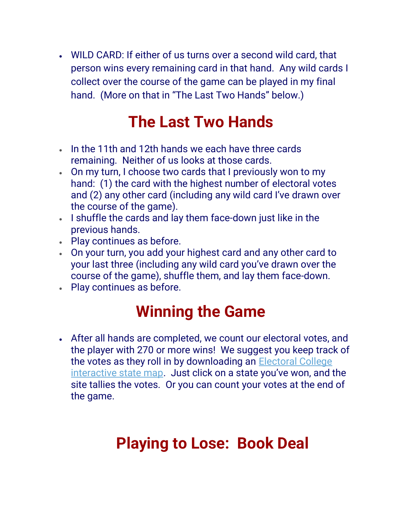• WILD CARD: If either of us turns over a second wild card, that person wins every remaining card in that hand. Any wild cards I collect over the course of the game can be played in my final hand. (More on that in "The Last Two Hands" below.)

### **The Last Two Hands**

- In the 11th and 12th hands we each have three cards remaining. Neither of us looks at those cards.
- On my turn, I choose two cards that I previously won to my hand: (1) the card with the highest number of electoral votes and (2) any other card (including any wild card I've drawn over the course of the game).
- I shuffle the cards and lay them face-down just like in the previous hands.
- Play continues as before.
- On your turn, you add your highest card and any other card to your last three (including any wild card you've drawn over the course of the game), shuffle them, and lay them face-down.
- Play continues as before.

### **Winning the Game**

• After all hands are completed, we count our electoral votes, and the player with 270 or more wins! We suggest you keep track of the votes as they roll in by downloading an [Electoral College](https://www.270towin.com/)  [interactive state map](https://www.270towin.com/). Just click on a state you've won, and the site tallies the votes. Or you can count your votes at the end of the game.

## **Playing to Lose: Book Deal**